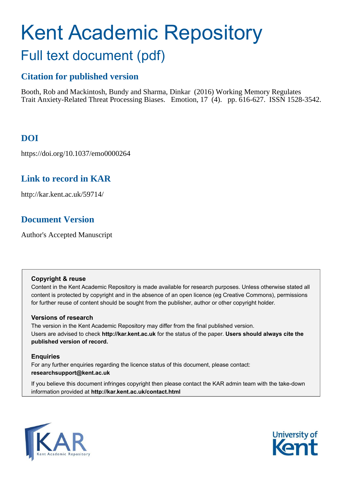# Kent Academic Repository Full text document (pdf)

# **Citation for published version**

Booth, Rob and Mackintosh, Bundy and Sharma, Dinkar (2016) Working Memory Regulates Trait Anxiety-Related Threat Processing Biases. Emotion, 17 (4). pp. 616-627. ISSN 1528-3542.

# **DOI**

https://doi.org/10.1037/emo0000264

# **Link to record in KAR**

http://kar.kent.ac.uk/59714/

# **Document Version**

Author's Accepted Manuscript

## **Copyright & reuse**

Content in the Kent Academic Repository is made available for research purposes. Unless otherwise stated all content is protected by copyright and in the absence of an open licence (eg Creative Commons), permissions for further reuse of content should be sought from the publisher, author or other copyright holder.

# **Versions of research**

The version in the Kent Academic Repository may differ from the final published version. Users are advised to check **http://kar.kent.ac.uk** for the status of the paper. **Users should always cite the published version of record.**

# **Enquiries**

For any further enquiries regarding the licence status of this document, please contact: **researchsupport@kent.ac.uk**

If you believe this document infringes copyright then please contact the KAR admin team with the take-down information provided at **http://kar.kent.ac.uk/contact.html**



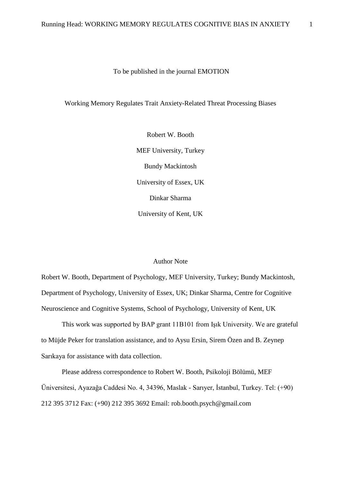#### To be published in the journal EMOTION

#### Working Memory Regulates Trait Anxiety-Related Threat Processing Biases

Robert W. Booth MEF University, Turkey Bundy Mackintosh University of Essex, UK Dinkar Sharma University of Kent, UK

#### Author Note

Robert W. Booth, Department of Psychology, MEF University, Turkey; Bundy Mackintosh, Department of Psychology, University of Essex, UK; Dinkar Sharma, Centre for Cognitive Neuroscience and Cognitive Systems, School of Psychology, University of Kent, UK

This work was supported by BAP grant 11B101 from Işık University. We are grateful to Müjde Peker for translation assistance, and to Aysu Ersin, Sirem Özen and B. Zeynep Sarıkaya for assistance with data collection.

Please address correspondence to Robert W. Booth, Psikoloji Bölümü, MEF Üniversitesi, Ayazağa Caddesi No. 4, 34396, Maslak - Sarıyer, İstanbul, Turkey. Tel: (+90) 212 395 3712 Fax: (+90) 212 395 3692 Email: rob.booth.psych@gmail.com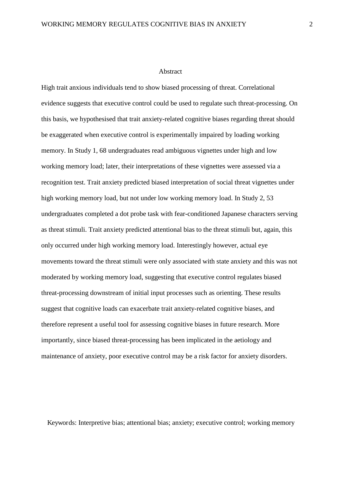#### Abstract

High trait anxious individuals tend to show biased processing of threat. Correlational evidence suggests that executive control could be used to regulate such threat-processing. On this basis, we hypothesised that trait anxiety-related cognitive biases regarding threat should be exaggerated when executive control is experimentally impaired by loading working memory. In Study 1, 68 undergraduates read ambiguous vignettes under high and low working memory load; later, their interpretations of these vignettes were assessed via a recognition test. Trait anxiety predicted biased interpretation of social threat vignettes under high working memory load, but not under low working memory load. In Study 2, 53 undergraduates completed a dot probe task with fear-conditioned Japanese characters serving as threat stimuli. Trait anxiety predicted attentional bias to the threat stimuli but, again, this only occurred under high working memory load. Interestingly however, actual eye movements toward the threat stimuli were only associated with state anxiety and this was not moderated by working memory load, suggesting that executive control regulates biased threat-processing downstream of initial input processes such as orienting. These results suggest that cognitive loads can exacerbate trait anxiety-related cognitive biases, and therefore represent a useful tool for assessing cognitive biases in future research. More importantly, since biased threat-processing has been implicated in the aetiology and maintenance of anxiety, poor executive control may be a risk factor for anxiety disorders.

Keywords: Interpretive bias; attentional bias; anxiety; executive control; working memory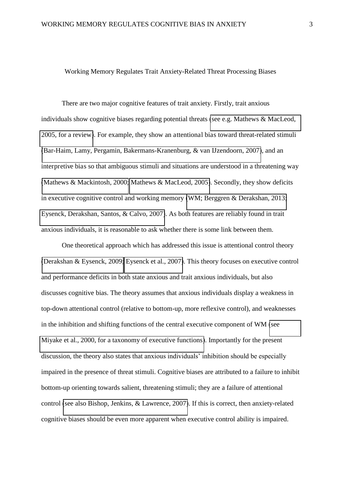#### Working Memory Regulates Trait Anxiety-Related Threat Processing Biases

There are two major cognitive features of trait anxiety. Firstly, trait anxious individuals show cognitive biases regarding potential threats [\(see e.g. Mathews & MacLeod,](#page-35-0)  [2005, for a review\)](#page-35-0). For example, they show an attentional bias toward threat-related stimuli [\(Bar-Haim, Lamy, Pergamin, Bakermans-Kranenburg, & van IJzendoorn, 2007\)](#page-30-0), and an interpretive bias so that ambiguous stimuli and situations are understood in a threatening way [\(Mathews & Mackintosh, 2000;](#page-35-1) [Mathews & MacLeod, 2005\)](#page-35-0). Secondly, they show deficits in executive cognitive control and working memory [\(WM; Berggren & Derakshan, 2013;](#page-30-1) [Eysenck, Derakshan, Santos, & Calvo, 2007\)](#page-33-0). As both features are reliably found in trait anxious individuals, it is reasonable to ask whether there is some link between them.

One theoretical approach which has addressed this issue is attentional control theory [\(Derakshan & Eysenck, 2009;](#page-32-0) [Eysenck et al., 2007\)](#page-33-0). This theory focuses on executive control and performance deficits in both state anxious and trait anxious individuals, but also discusses cognitive bias. The theory assumes that anxious individuals display a weakness in top-down attentional control (relative to bottom-up, more reflexive control), and weaknesses in the inhibition and shifting functions of the central executive component of WM [\(see](#page-35-2)  [Miyake et al., 2000, for a taxonomy of executive functions\)](#page-35-2). Importantly for the present discussion, the theory also states that anxious individuals' inhibition should be especially impaired in the presence of threat stimuli. Cognitive biases are attributed to a failure to inhibit bottom-up orienting towards salient, threatening stimuli; they are a failure of attentional control [\(see also Bishop, Jenkins, & Lawrence, 2007\)](#page-31-0). If this is correct, then anxiety-related cognitive biases should be even more apparent when executive control ability is impaired.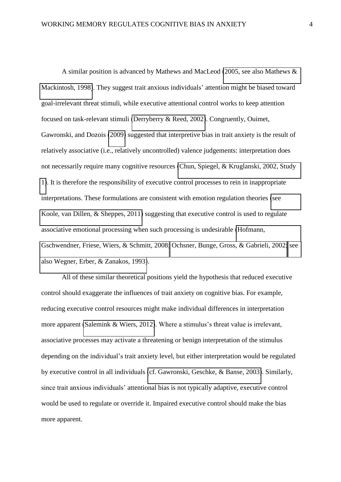A similar position is advanced by Mathews and MacLeod [\(2005, see also Mathews &](#page-35-0)  [Mackintosh, 1998\)](#page-35-0). They suggest trait anxious individuals' attention might be biased toward goal-irrelevant threat stimuli, while executive attentional control works to keep attention focused on task-relevant stimuli [\(Derryberry & Reed, 2002\)](#page-32-1). Congruently, Ouimet, Gawronski, and Dozois [\(2009\)](#page-37-0) suggested that interpretive bias in trait anxiety is the result of relatively associative (i.e., relatively uncontrolled) valence judgements: interpretation does not necessarily require many cognitive resources [\(Chun, Spiegel, & Kruglanski, 2002, Study](#page-32-2)  [1\)](#page-32-2). It is therefore the responsibility of executive control processes to rein in inappropriate interpretations. These formulations are consistent with emotion regulation theories [\(see](#page-33-1)  [Koole, van Dillen, & Sheppes, 2011\)](#page-33-1) suggesting that executive control is used to regulate associative emotional processing when such processing is undesirable [\(Hofmann,](#page-33-2)  [Gschwendner, Friese, Wiers, & Schmitt, 2008;](#page-33-2) [Ochsner, Bunge, Gross, & Gabrieli, 2002;](#page-36-0) [see](#page-39-0)  [also Wegner, Erber, & Zanakos, 1993\)](#page-39-0).

All of these similar theoretical positions yield the hypothesis that reduced executive control should exaggerate the influences of trait anxiety on cognitive bias. For example, reducing executive control resources might make individual differences in interpretation more apparent [\(Salemink & Wiers, 2012\)](#page-38-0). Where a stimulus's threat value is irrelevant, associative processes may activate a threatening or benign interpretation of the stimulus depending on the individual's trait anxiety level, but either interpretation would be regulated by executive control in all individuals [\(cf. Gawronski, Geschke, & Banse, 2003\)](#page-33-3). Similarly, since trait anxious individuals' attentional bias is not typically adaptive, executive control would be used to regulate or override it. Impaired executive control should make the bias more apparent.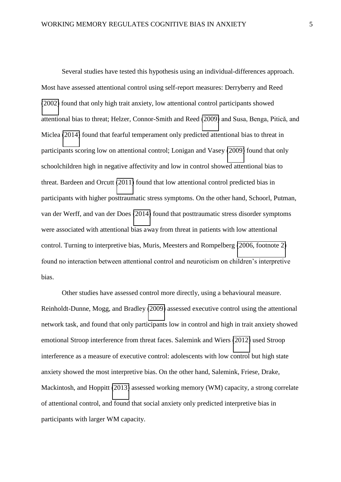Several studies have tested this hypothesis using an individual-differences approach. Most have assessed attentional control using self-report measures: Derryberry and Reed [\(2002\)](#page-32-1) found that only high trait anxiety, low attentional control participants showed attentional bias to threat; Helzer, Connor-Smith and Reed [\(2009\)](#page-33-4) and Susa, Benga, Pitică, and Miclea [\(2014\)](#page-38-1) found that fearful temperament only predicted attentional bias to threat in participants scoring low on attentional control; Lonigan and Vasey [\(2009\)](#page-34-0) found that only schoolchildren high in negative affectivity and low in control showed attentional bias to threat. Bardeen and Orcutt [\(2011\)](#page-30-2) found that low attentional control predicted bias in participants with higher posttraumatic stress symptoms. On the other hand, Schoorl, Putman, van der Werff, and van der Does [\(2014\)](#page-38-2) found that posttraumatic stress disorder symptoms were associated with attentional bias away from threat in patients with low attentional control. Turning to interpretive bias, Muris, Meesters and Rompelberg [\(2006, footnote 2\)](#page-36-1) found no interaction between attentional control and neuroticism on children's interpretive bias.

Other studies have assessed control more directly, using a behavioural measure. Reinholdt-Dunne, Mogg, and Bradley [\(2009\)](#page-37-1) assessed executive control using the attentional network task, and found that only participants low in control and high in trait anxiety showed emotional Stroop interference from threat faces. Salemink and Wiers [\(2012\)](#page-38-0) used Stroop interference as a measure of executive control: adolescents with low control but high state anxiety showed the most interpretive bias. On the other hand, Salemink, Friese, Drake, Mackintosh, and Hoppitt [\(2013\)](#page-37-2) assessed working memory (WM) capacity, a strong correlate of attentional control, and found that social anxiety only predicted interpretive bias in participants with larger WM capacity.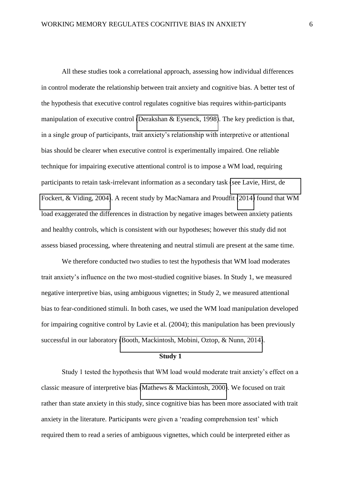All these studies took a correlational approach, assessing how individual differences in control moderate the relationship between trait anxiety and cognitive bias. A better test of the hypothesis that executive control regulates cognitive bias requires within-participants manipulation of executive control [\(Derakshan & Eysenck, 1998\)](#page-32-3). The key prediction is that, in a single group of participants, trait anxiety's relationship with interpretive or attentional bias should be clearer when executive control is experimentally impaired. One reliable technique for impairing executive attentional control is to impose a WM load, requiring participants to retain task-irrelevant information as a secondary task [\(see Lavie, Hirst, de](#page-34-1)  [Fockert, & Viding, 2004\)](#page-34-1). A recent study by MacNamara and Proudfit [\(2014\)](#page-34-2) found that WM load exaggerated the differences in distraction by negative images between anxiety patients and healthy controls, which is consistent with our hypotheses; however this study did not assess biased processing, where threatening and neutral stimuli are present at the same time.

We therefore conducted two studies to test the hypothesis that WM load moderates trait anxiety's influence on the two most-studied cognitive biases. In Study 1, we measured negative interpretive bias, using ambiguous vignettes; in Study 2, we measured attentional bias to fear-conditioned stimuli. In both cases, we used the WM load manipulation developed for impairing cognitive control by Lavie et al. (2004); this manipulation has been previously successful in our laboratory [\(Booth, Mackintosh, Mobini, Oztop, & Nunn, 2014\)](#page-31-1).

#### **Study 1**

Study 1 tested the hypothesis that WM load would moderate trait anxiety's effect on a classic measure of interpretive bias [\(Mathews & Mackintosh, 2000\)](#page-35-1). We focused on trait rather than state anxiety in this study, since cognitive bias has been more associated with trait anxiety in the literature. Participants were given a 'reading comprehension test' which required them to read a series of ambiguous vignettes, which could be interpreted either as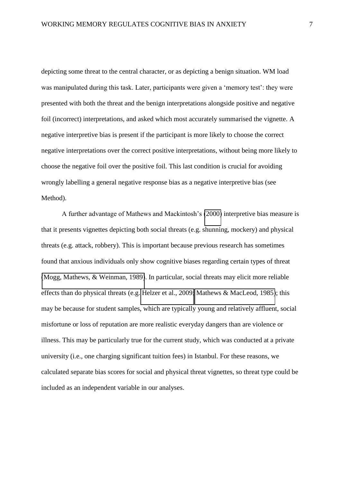depicting some threat to the central character, or as depicting a benign situation. WM load was manipulated during this task. Later, participants were given a 'memory test': they were presented with both the threat and the benign interpretations alongside positive and negative foil (incorrect) interpretations, and asked which most accurately summarised the vignette. A negative interpretive bias is present if the participant is more likely to choose the correct negative interpretations over the correct positive interpretations, without being more likely to choose the negative foil over the positive foil. This last condition is crucial for avoiding wrongly labelling a general negative response bias as a negative interpretive bias (see Method).

A further advantage of Mathews and Mackintosh's [\(2000\)](#page-35-1) interpretive bias measure is that it presents vignettes depicting both social threats (e.g. shunning, mockery) and physical threats (e.g. attack, robbery). This is important because previous research has sometimes found that anxious individuals only show cognitive biases regarding certain types of threat [\(Mogg, Mathews, & Weinman, 1989\)](#page-36-2). In particular, social threats may elicit more reliable effects than do physical threats (e.g. [Helzer et al., 2009;](#page-33-4) [Mathews & MacLeod, 1985\)](#page-35-3); this may be because for student samples, which are typically young and relatively affluent, social misfortune or loss of reputation are more realistic everyday dangers than are violence or illness. This may be particularly true for the current study, which was conducted at a private university (i.e., one charging significant tuition fees) in Istanbul. For these reasons, we calculated separate bias scores for social and physical threat vignettes, so threat type could be included as an independent variable in our analyses.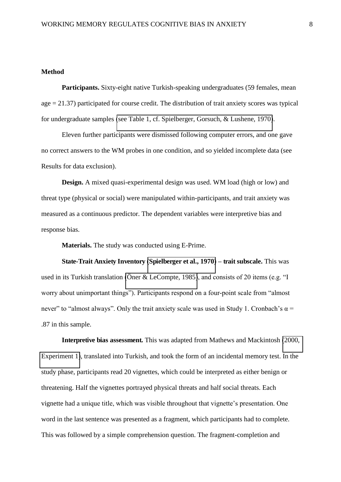#### **Method**

**Participants.** Sixty-eight native Turkish-speaking undergraduates (59 females, mean  $age = 21.37$ ) participated for course credit. The distribution of trait anxiety scores was typical for undergraduate samples [\(see Table 1, cf. Spielberger, Gorsuch, & Lushene, 1970\)](#page-38-3).

Eleven further participants were dismissed following computer errors, and one gave no correct answers to the WM probes in one condition, and so yielded incomplete data (see Results for data exclusion).

**Design.** A mixed quasi-experimental design was used. WM load (high or low) and threat type (physical or social) were manipulated within-participants, and trait anxiety was measured as a continuous predictor. The dependent variables were interpretive bias and response bias.

**Materials.** The study was conducted using E-Prime.

**State-Trait Anxiety Inventory [\(Spielberger et al., 1970\)](#page-38-3)** *–* **trait subscale.** This was used in its Turkish translation [\(Öner & LeCompte, 1985\)](#page-36-3), and consists of 20 items (e.g. "I worry about unimportant things"). Participants respond on a four-point scale from "almost never" to "almost always". Only the trait anxiety scale was used in Study 1. Cronbach's  $\alpha$  = .87 in this sample.

**Interpretive bias assessment.** This was adapted from Mathews and Mackintosh [\(2000,](#page-35-1)  [Experiment 1\)](#page-35-1), translated into Turkish, and took the form of an incidental memory test. In the study phase, participants read 20 vignettes, which could be interpreted as either benign or threatening. Half the vignettes portrayed physical threats and half social threats. Each vignette had a unique title, which was visible throughout that vignette's presentation. One word in the last sentence was presented as a fragment, which participants had to complete. This was followed by a simple comprehension question. The fragment-completion and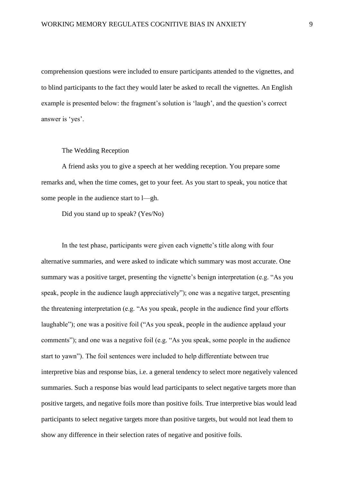comprehension questions were included to ensure participants attended to the vignettes, and to blind participants to the fact they would later be asked to recall the vignettes. An English example is presented below: the fragment's solution is 'laugh', and the question's correct answer is 'yes'.

The Wedding Reception

A friend asks you to give a speech at her wedding reception. You prepare some remarks and, when the time comes, get to your feet. As you start to speak, you notice that some people in the audience start to l—gh.

Did you stand up to speak? (Yes/No)

In the test phase, participants were given each vignette's title along with four alternative summaries, and were asked to indicate which summary was most accurate. One summary was a positive target, presenting the vignette's benign interpretation (e.g. "As you speak, people in the audience laugh appreciatively"); one was a negative target, presenting the threatening interpretation (e.g. "As you speak, people in the audience find your efforts laughable"); one was a positive foil ("As you speak, people in the audience applaud your comments"); and one was a negative foil (e.g. "As you speak, some people in the audience start to yawn"). The foil sentences were included to help differentiate between true interpretive bias and response bias, i.e. a general tendency to select more negatively valenced summaries. Such a response bias would lead participants to select negative targets more than positive targets, and negative foils more than positive foils. True interpretive bias would lead participants to select negative targets more than positive targets, but would not lead them to show any difference in their selection rates of negative and positive foils.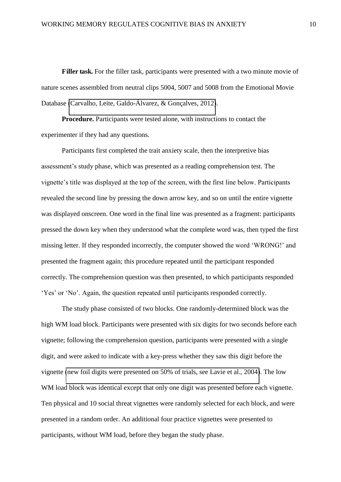**Filler task.** For the filler task, participants were presented with a two minute movie of nature scenes assembled from neutral clips 5004, 5007 and 5008 from the Emotional Movie Database [\(Carvalho, Leite, Galdo-Álvarez, & Gonçalves, 2012\)](#page-32-4).

**Procedure.** Participants were tested alone, with instructions to contact the experimenter if they had any questions.

Participants first completed the trait anxiety scale, then the interpretive bias assessment's study phase, which was presented as a reading comprehension test. The vignette's title was displayed at the top of the screen, with the first line below. Participants revealed the second line by pressing the down arrow key, and so on until the entire vignette was displayed onscreen. One word in the final line was presented as a fragment: participants pressed the down key when they understood what the complete word was, then typed the first missing letter. If they responded incorrectly, the computer showed the word 'WRONG!' and presented the fragment again; this procedure repeated until the participant responded correctly. The comprehension question was then presented, to which participants responded 'Yes' or 'No'. Again, the question repeated until participants responded correctly.

The study phase consisted of two blocks. One randomly-determined block was the high WM load block. Participants were presented with six digits for two seconds before each vignette; following the comprehension question, participants were presented with a single digit, and were asked to indicate with a key-press whether they saw this digit before the vignette [\(new foil digits were presented on 50% of trials, see Lavie et al., 2004\)](#page-34-1). The low WM load block was identical except that only one digit was presented before each vignette. Ten physical and 10 social threat vignettes were randomly selected for each block, and were presented in a random order. An additional four practice vignettes were presented to participants, without WM load, before they began the study phase.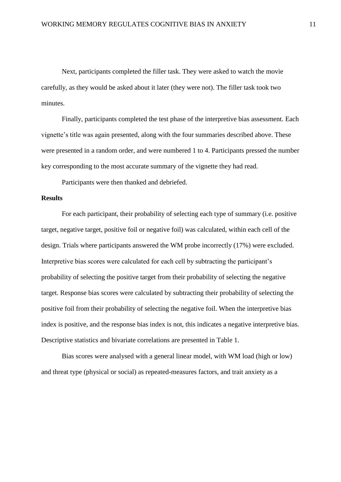Next, participants completed the filler task. They were asked to watch the movie carefully, as they would be asked about it later (they were not). The filler task took two minutes.

Finally, participants completed the test phase of the interpretive bias assessment. Each vignette's title was again presented, along with the four summaries described above. These were presented in a random order, and were numbered 1 to 4. Participants pressed the number key corresponding to the most accurate summary of the vignette they had read.

Participants were then thanked and debriefed.

#### **Results**

For each participant, their probability of selecting each type of summary (i.e. positive target, negative target, positive foil or negative foil) was calculated, within each cell of the design. Trials where participants answered the WM probe incorrectly (17%) were excluded. Interpretive bias scores were calculated for each cell by subtracting the participant's probability of selecting the positive target from their probability of selecting the negative target. Response bias scores were calculated by subtracting their probability of selecting the positive foil from their probability of selecting the negative foil. When the interpretive bias index is positive, and the response bias index is not, this indicates a negative interpretive bias. Descriptive statistics and bivariate correlations are presented in Table 1.

Bias scores were analysed with a general linear model, with WM load (high or low) and threat type (physical or social) as repeated-measures factors, and trait anxiety as a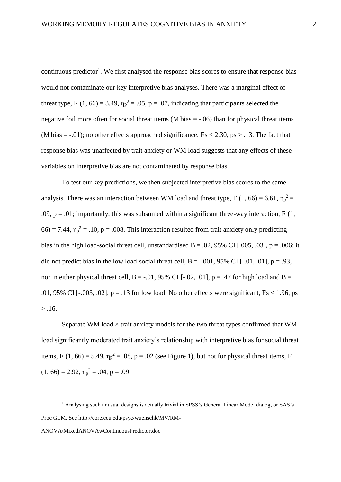continuous predictor<sup>1</sup>. We first analysed the response bias scores to ensure that response bias would not contaminate our key interpretive bias analyses. There was a marginal effect of threat type, F (1, 66) = 3.49,  $\eta_p^2$  = .05, p = .07, indicating that participants selected the negative foil more often for social threat items (M bias  $=$  -.06) than for physical threat items (M bias  $=$  -.01); no other effects approached significance,  $Fs < 2.30$ ,  $ps > .13$ . The fact that response bias was unaffected by trait anxiety or WM load suggests that any effects of these variables on interpretive bias are not contaminated by response bias.

To test our key predictions, we then subjected interpretive bias scores to the same analysis. There was an interaction between WM load and threat type, F (1, 66) = 6.61,  $\eta_p^2$  = .09,  $p = 0.01$ ; importantly, this was subsumed within a significant three-way interaction, F (1,  $66$ ) = 7.44,  $\eta_p^2$  = .10, p = .008. This interaction resulted from trait anxiety only predicting bias in the high load-social threat cell, unstandardised  $B = .02, 95\%$  CI [.005, .03],  $p = .006$ ; it did not predict bias in the low load-social threat cell,  $B = -0.001$ ,  $95\%$  CI [ $-0.01$ ,  $0.01$ ],  $p = 0.93$ , nor in either physical threat cell,  $B = -0.01$ , 95% CI [ $-0.02$ ,  $0.01$ ], p = .47 for high load and B = .01, 95% CI [ $-.003, .02$ ], p = .13 for low load. No other effects were significant, Fs < 1.96, ps  $> .16.$ 

Separate WM load  $\times$  trait anxiety models for the two threat types confirmed that WM load significantly moderated trait anxiety's relationship with interpretive bias for social threat items, F (1, 66) = 5.49,  $\eta_p^2$  = .08, p = .02 (see Figure 1), but not for physical threat items, F  $(1, 66) = 2.92, \eta_p^2 = .04, p = .09.$ 

ANOVA/MixedANOVAwContinuousPredictor.doc

<u>.</u>

<sup>1</sup> Analysing such unusual designs is actually trivial in SPSS's General Linear Model dialog, or SAS's Proc GLM. See http://core.ecu.edu/psyc/wuenschk/MV/RM-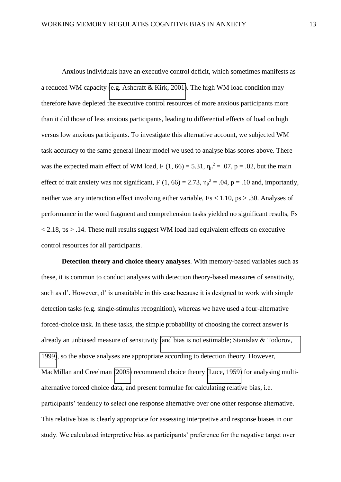Anxious individuals have an executive control deficit, which sometimes manifests as a reduced WM capacity [\(e.g. Ashcraft & Kirk, 2001\)](#page-30-3). The high WM load condition may therefore have depleted the executive control resources of more anxious participants more than it did those of less anxious participants, leading to differential effects of load on high versus low anxious participants. To investigate this alternative account, we subjected WM task accuracy to the same general linear model we used to analyse bias scores above. There was the expected main effect of WM load, F (1, 66) = 5.31,  $\eta_p^2 = .07$ , p = .02, but the main effect of trait anxiety was not significant, F (1, 66) = 2.73,  $\eta_p^2 = .04$ , p = .10 and, importantly, neither was any interaction effect involving either variable, Fs < 1.10, ps > .30. Analyses of performance in the word fragment and comprehension tasks yielded no significant results, Fs  $\langle 2.18, \text{ps} \rangle$  .14. These null results suggest WM load had equivalent effects on executive control resources for all participants.

**Detection theory and choice theory analyses**. With memory-based variables such as these, it is common to conduct analyses with detection theory-based measures of sensitivity, such as d'. However, d' is unsuitable in this case because it is designed to work with simple detection tasks (e.g. single-stimulus recognition), whereas we have used a four-alternative forced-choice task. In these tasks, the simple probability of choosing the correct answer is already an unbiased measure of sensitivity [\(and bias is not estimable; Stanislav & Todorov,](#page-38-4)  [1999\)](#page-38-4), so the above analyses are appropriate according to detection theory. However, MacMillan and Creelman [\(2005\)](#page-34-3) recommend choice theory [\(Luce, 1959\)](#page-34-4) for analysing multialternative forced choice data, and present formulae for calculating relative bias, i.e. participants' tendency to select one response alternative over one other response alternative. This relative bias is clearly appropriate for assessing interpretive and response biases in our study. We calculated interpretive bias as participants' preference for the negative target over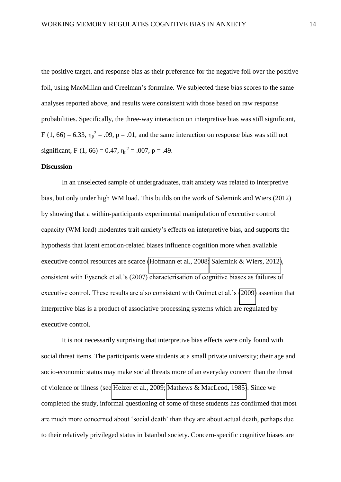the positive target, and response bias as their preference for the negative foil over the positive foil, using MacMillan and Creelman's formulae. We subjected these bias scores to the same analyses reported above, and results were consistent with those based on raw response probabilities. Specifically, the three-way interaction on interpretive bias was still significant, F (1, 66) = 6.33,  $\eta_p^2$  = .09, p = .01, and the same interaction on response bias was still not significant, F (1, 66) = 0.47,  $\eta_p^2$  = .007, p = .49.

#### **Discussion**

In an unselected sample of undergraduates, trait anxiety was related to interpretive bias, but only under high WM load. This builds on the work of Salemink and Wiers (2012) by showing that a within-participants experimental manipulation of executive control capacity (WM load) moderates trait anxiety's effects on interpretive bias, and supports the hypothesis that latent emotion-related biases influence cognition more when available executive control resources are scarce [\(Hofmann et al., 2008;](#page-33-2) [Salemink & Wiers, 2012\)](#page-38-0), consistent with Eysenck et al.'s (2007) characterisation of cognitive biases as failures of executive control. These results are also consistent with Ouimet et al.'s [\(2009\)](#page-37-0) assertion that interpretive bias is a product of associative processing systems which are regulated by executive control.

It is not necessarily surprising that interpretive bias effects were only found with social threat items. The participants were students at a small private university; their age and socio-economic status may make social threats more of an everyday concern than the threat of violence or illness (see [Helzer et al., 2009;](#page-33-4) [Mathews & MacLeod, 1985\)](#page-35-3). Since we completed the study, informal questioning of some of these students has confirmed that most are much more concerned about 'social death' than they are about actual death, perhaps due to their relatively privileged status in Istanbul society. Concern-specific cognitive biases are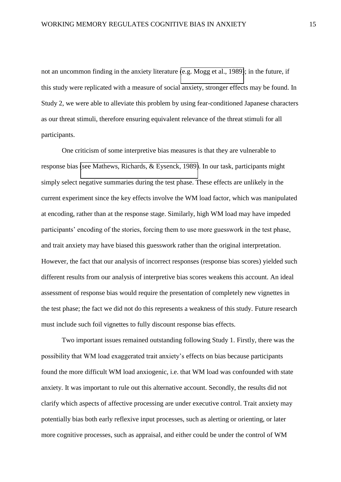not an uncommon finding in the anxiety literature [\(e.g. Mogg et al., 1989\)](#page-36-2); in the future, if this study were replicated with a measure of social anxiety, stronger effects may be found. In Study 2, we were able to alleviate this problem by using fear-conditioned Japanese characters as our threat stimuli, therefore ensuring equivalent relevance of the threat stimuli for all participants.

One criticism of some interpretive bias measures is that they are vulnerable to response bias [\(see Mathews, Richards, & Eysenck, 1989\)](#page-35-4). In our task, participants might simply select negative summaries during the test phase. These effects are unlikely in the current experiment since the key effects involve the WM load factor, which was manipulated at encoding, rather than at the response stage. Similarly, high WM load may have impeded participants' encoding of the stories, forcing them to use more guesswork in the test phase, and trait anxiety may have biased this guesswork rather than the original interpretation. However, the fact that our analysis of incorrect responses (response bias scores) yielded such different results from our analysis of interpretive bias scores weakens this account. An ideal assessment of response bias would require the presentation of completely new vignettes in the test phase; the fact we did not do this represents a weakness of this study. Future research must include such foil vignettes to fully discount response bias effects.

Two important issues remained outstanding following Study 1. Firstly, there was the possibility that WM load exaggerated trait anxiety's effects on bias because participants found the more difficult WM load anxiogenic, i.e. that WM load was confounded with state anxiety. It was important to rule out this alternative account. Secondly, the results did not clarify which aspects of affective processing are under executive control. Trait anxiety may potentially bias both early reflexive input processes, such as alerting or orienting, or later more cognitive processes, such as appraisal, and either could be under the control of WM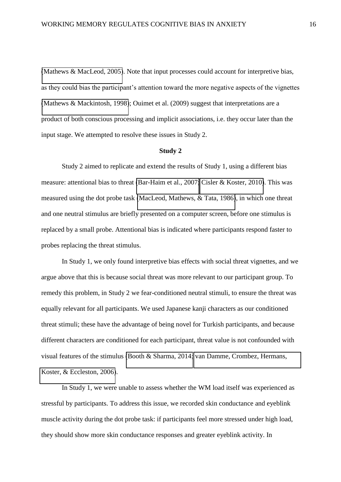[\(Mathews & MacLeod, 2005\)](#page-35-0). Note that input processes could account for interpretive bias, as they could bias the participant's attention toward the more negative aspects of the vignettes [\(Mathews & Mackintosh, 1998\)](#page-34-5); Ouimet et al. (2009) suggest that interpretations are a product of both conscious processing and implicit associations, i.e. they occur later than the input stage. We attempted to resolve these issues in Study 2.

#### **Study 2**

Study 2 aimed to replicate and extend the results of Study 1, using a different bias measure: attentional bias to threat [\(Bar-Haim et al., 2007;](#page-30-0) [Cisler & Koster, 2010\)](#page-32-5). This was measured using the dot probe task [\(MacLeod, Mathews, & Tata, 1986\)](#page-34-6), in which one threat and one neutral stimulus are briefly presented on a computer screen, before one stimulus is replaced by a small probe. Attentional bias is indicated where participants respond faster to probes replacing the threat stimulus.

In Study 1, we only found interpretive bias effects with social threat vignettes, and we argue above that this is because social threat was more relevant to our participant group. To remedy this problem, in Study 2 we fear-conditioned neutral stimuli, to ensure the threat was equally relevant for all participants. We used Japanese kanji characters as our conditioned threat stimuli; these have the advantage of being novel for Turkish participants, and because different characters are conditioned for each participant, threat value is not confounded with visual features of the stimulus [\(Booth & Sharma, 2014;](#page-31-2) [van Damme, Crombez, Hermans,](#page-38-5)  [Koster, & Eccleston, 2006\)](#page-38-5).

In Study 1, we were unable to assess whether the WM load itself was experienced as stressful by participants. To address this issue, we recorded skin conductance and eyeblink muscle activity during the dot probe task: if participants feel more stressed under high load, they should show more skin conductance responses and greater eyeblink activity. In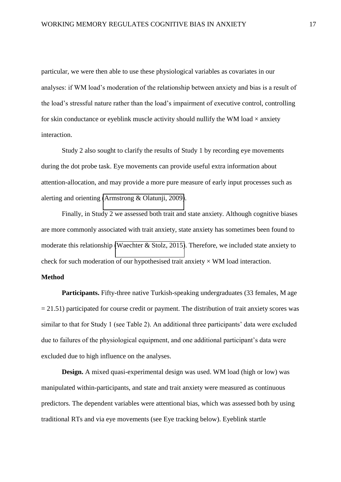particular, we were then able to use these physiological variables as covariates in our analyses: if WM load's moderation of the relationship between anxiety and bias is a result of the load's stressful nature rather than the load's impairment of executive control, controlling for skin conductance or eyeblink muscle activity should nullify the WM load  $\times$  anxiety interaction.

Study 2 also sought to clarify the results of Study 1 by recording eye movements during the dot probe task. Eye movements can provide useful extra information about attention-allocation, and may provide a more pure measure of early input processes such as alerting and orienting [\(Armstrong & Olatunji, 2009\)](#page-30-4).

Finally, in Study 2 we assessed both trait and state anxiety. Although cognitive biases are more commonly associated with trait anxiety, state anxiety has sometimes been found to moderate this relationship [\(Waechter & Stolz, 2015\)](#page-39-1). Therefore, we included state anxiety to check for such moderation of our hypothesised trait anxiety  $\times$  WM load interaction.

#### **Method**

**Participants.** Fifty-three native Turkish-speaking undergraduates (33 females, M age  $= 21.51$ ) participated for course credit or payment. The distribution of trait anxiety scores was similar to that for Study 1 (see Table 2). An additional three participants' data were excluded due to failures of the physiological equipment, and one additional participant's data were excluded due to high influence on the analyses.

**Design.** A mixed quasi-experimental design was used. WM load (high or low) was manipulated within-participants, and state and trait anxiety were measured as continuous predictors. The dependent variables were attentional bias, which was assessed both by using traditional RTs and via eye movements (see Eye tracking below). Eyeblink startle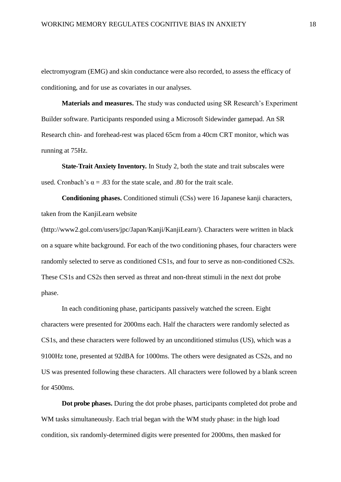electromyogram (EMG) and skin conductance were also recorded, to assess the efficacy of conditioning, and for use as covariates in our analyses.

**Materials and measures.** The study was conducted using SR Research's Experiment Builder software. Participants responded using a Microsoft Sidewinder gamepad. An SR Research chin- and forehead-rest was placed 65cm from a 40cm CRT monitor, which was running at 75Hz.

**State-Trait Anxiety Inventory.** In Study 2, both the state and trait subscales were used. Cronbach's  $\alpha = .83$  for the state scale, and .80 for the trait scale.

**Conditioning phases.** Conditioned stimuli (CSs) were 16 Japanese kanji characters, taken from the KanjiLearn website

(http://www2.gol.com/users/jpc/Japan/Kanji/KanjiLearn/). Characters were written in black on a square white background. For each of the two conditioning phases, four characters were randomly selected to serve as conditioned CS1s, and four to serve as non-conditioned CS2s. These CS1s and CS2s then served as threat and non-threat stimuli in the next dot probe phase.

In each conditioning phase, participants passively watched the screen. Eight characters were presented for 2000ms each. Half the characters were randomly selected as CS1s, and these characters were followed by an unconditioned stimulus (US), which was a 9100Hz tone, presented at 92dBA for 1000ms. The others were designated as CS2s, and no US was presented following these characters. All characters were followed by a blank screen for 4500ms.

**Dot probe phases.** During the dot probe phases, participants completed dot probe and WM tasks simultaneously. Each trial began with the WM study phase: in the high load condition, six randomly-determined digits were presented for 2000ms, then masked for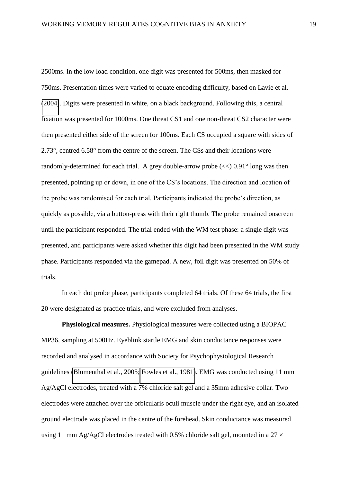2500ms. In the low load condition, one digit was presented for 500ms, then masked for 750ms. Presentation times were varied to equate encoding difficulty, based on Lavie et al. [\(2004\)](#page-34-1). Digits were presented in white, on a black background. Following this, a central fixation was presented for 1000ms. One threat CS1 and one non-threat CS2 character were then presented either side of the screen for 100ms. Each CS occupied a square with sides of 2.73°, centred 6.58° from the centre of the screen. The CSs and their locations were randomly-determined for each trial. A grey double-arrow probe  $(<) 0.91^{\circ}$  long was then presented, pointing up or down, in one of the CS's locations. The direction and location of the probe was randomised for each trial. Participants indicated the probe's direction, as quickly as possible, via a button-press with their right thumb. The probe remained onscreen until the participant responded. The trial ended with the WM test phase: a single digit was presented, and participants were asked whether this digit had been presented in the WM study phase. Participants responded via the gamepad. A new, foil digit was presented on 50% of trials.

In each dot probe phase, participants completed 64 trials. Of these 64 trials, the first 20 were designated as practice trials, and were excluded from analyses.

**Physiological measures.** Physiological measures were collected using a BIOPAC MP36, sampling at 500Hz. Eyeblink startle EMG and skin conductance responses were recorded and analysed in accordance with Society for Psychophysiological Research guidelines [\(Blumenthal et al., 2005;](#page-31-3) [Fowles et al., 1981\)](#page-33-5). EMG was conducted using 11 mm Ag/AgCl electrodes, treated with a 7% chloride salt gel and a 35mm adhesive collar. Two electrodes were attached over the orbicularis oculi muscle under the right eye, and an isolated ground electrode was placed in the centre of the forehead. Skin conductance was measured using 11 mm Ag/AgCl electrodes treated with 0.5% chloride salt gel, mounted in a 27  $\times$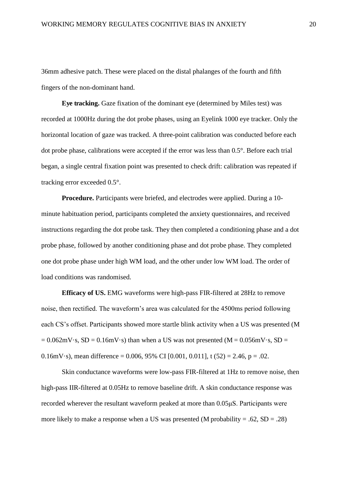36mm adhesive patch. These were placed on the distal phalanges of the fourth and fifth fingers of the non-dominant hand.

**Eye tracking.** Gaze fixation of the dominant eye (determined by Miles test) was recorded at 1000Hz during the dot probe phases, using an Eyelink 1000 eye tracker. Only the horizontal location of gaze was tracked. A three-point calibration was conducted before each dot probe phase, calibrations were accepted if the error was less than 0.5°. Before each trial began, a single central fixation point was presented to check drift: calibration was repeated if tracking error exceeded 0.5°.

**Procedure.** Participants were briefed, and electrodes were applied. During a 10 minute habituation period, participants completed the anxiety questionnaires, and received instructions regarding the dot probe task. They then completed a conditioning phase and a dot probe phase, followed by another conditioning phase and dot probe phase. They completed one dot probe phase under high WM load, and the other under low WM load. The order of load conditions was randomised.

**Efficacy of US.** EMG waveforms were high-pass FIR-filtered at 28Hz to remove noise, then rectified. The waveform's area was calculated for the 4500ms period following each CS's offset. Participants showed more startle blink activity when a US was presented (M  $= 0.062$ mV·s, SD = 0.16mV·s) than when a US was not presented (M = 0.056mV·s, SD = 0.16mV·s), mean difference = 0.006, 95% CI  $[0.001, 0.011]$ , t  $(52) = 2.46$ , p = .02.

Skin conductance waveforms were low-pass FIR-filtered at 1Hz to remove noise, then high-pass IIR-filtered at 0.05Hz to remove baseline drift. A skin conductance response was recorded wherever the resultant waveform peaked at more than  $0.05\mu S$ . Participants were more likely to make a response when a US was presented (M probability  $= .62$ , SD  $= .28$ )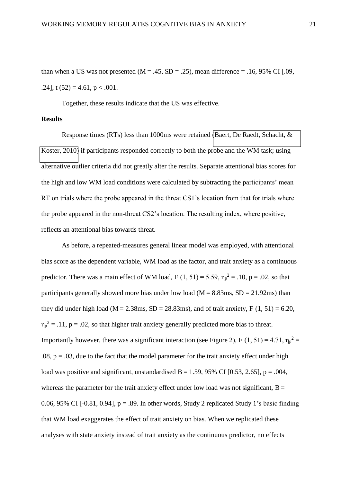than when a US was not presented ( $M = .45$ ,  $SD = .25$ ), mean difference = .16, 95% CI [.09, .24], t  $(52) = 4.61$ , p < .001.

Together, these results indicate that the US was effective.

## **Results**

Response times (RTs) less than 1000ms were retained [\(Baert, De Raedt, Schacht, &](#page-30-5)  [Koster, 2010\)](#page-30-5) if participants responded correctly to both the probe and the WM task; using alternative outlier criteria did not greatly alter the results. Separate attentional bias scores for the high and low WM load conditions were calculated by subtracting the participants' mean RT on trials where the probe appeared in the threat CS1's location from that for trials where the probe appeared in the non-threat CS2's location. The resulting index, where positive, reflects an attentional bias towards threat.

As before, a repeated-measures general linear model was employed, with attentional bias score as the dependent variable, WM load as the factor, and trait anxiety as a continuous predictor. There was a main effect of WM load, F  $(1, 51) = 5.59$ ,  $\eta_p^2 = .10$ , p = .02, so that participants generally showed more bias under low load ( $M = 8.83$ ms,  $SD = 21.92$ ms) than they did under high load ( $M = 2.38$ ms, SD = 28.83ms), and of trait anxiety, F (1, 51) = 6.20,  $\eta_p^2 = .11$ ,  $p = .02$ , so that higher trait anxiety generally predicted more bias to threat. Importantly however, there was a significant interaction (see Figure 2), F (1, 51) = 4.71,  $\eta_p^2$  =  $.08$ ,  $p = .03$ , due to the fact that the model parameter for the trait anxiety effect under high load was positive and significant, unstandardised  $B = 1.59$ , 95% CI [0.53, 2.65], p = .004, whereas the parameter for the trait anxiety effect under low load was not significant,  $B =$ 0.06, 95% CI [-0.81, 0.94],  $p = .89$ . In other words, Study 2 replicated Study 1's basic finding that WM load exaggerates the effect of trait anxiety on bias. When we replicated these analyses with state anxiety instead of trait anxiety as the continuous predictor, no effects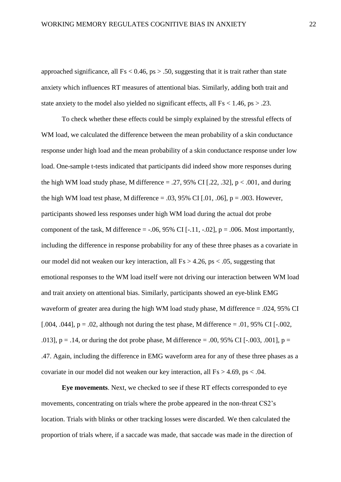approached significance, all  $Fs < 0.46$ ,  $ps > .50$ , suggesting that it is trait rather than state anxiety which influences RT measures of attentional bias. Similarly, adding both trait and state anxiety to the model also yielded no significant effects, all  $Fs < 1.46$ ,  $ps > .23$ .

To check whether these effects could be simply explained by the stressful effects of WM load, we calculated the difference between the mean probability of a skin conductance response under high load and the mean probability of a skin conductance response under low load. One-sample t-tests indicated that participants did indeed show more responses during the high WM load study phase, M difference  $= .27, 95\%$  CI [.22, .32], p < .001, and during the high WM load test phase, M difference  $= .03, 95\%$  CI [.01, .06], p  $= .003$ . However, participants showed less responses under high WM load during the actual dot probe component of the task, M difference  $=$  -.06, 95% CI [-.11, -.02],  $p = .006$ . Most importantly, including the difference in response probability for any of these three phases as a covariate in our model did not weaken our key interaction, all  $Fs > 4.26$ ,  $ps < .05$ , suggesting that emotional responses to the WM load itself were not driving our interaction between WM load and trait anxiety on attentional bias. Similarly, participants showed an eye-blink EMG waveform of greater area during the high WM load study phase, M difference = .024, 95% CI [.004, .044],  $p = .02$ , although not during the test phase, M difference = .01, 95% CI [-.002, .013], p = .14, or during the dot probe phase, M difference = .00, 95% CI [-.003, .001], p = .47. Again, including the difference in EMG waveform area for any of these three phases as a covariate in our model did not weaken our key interaction, all  $Fs > 4.69$ ,  $ps < .04$ .

**Eye movements**. Next, we checked to see if these RT effects corresponded to eye movements, concentrating on trials where the probe appeared in the non-threat CS2's location. Trials with blinks or other tracking losses were discarded. We then calculated the proportion of trials where, if a saccade was made, that saccade was made in the direction of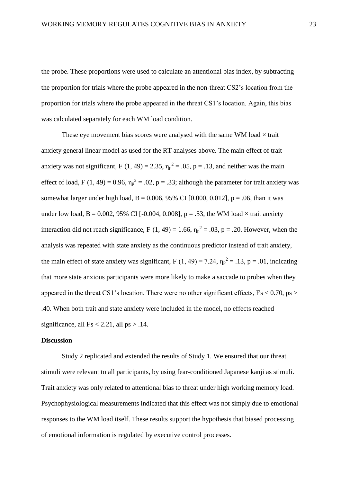the probe. These proportions were used to calculate an attentional bias index, by subtracting the proportion for trials where the probe appeared in the non-threat CS2's location from the proportion for trials where the probe appeared in the threat CS1's location. Again, this bias was calculated separately for each WM load condition.

These eye movement bias scores were analysed with the same WM load  $\times$  trait anxiety general linear model as used for the RT analyses above. The main effect of trait anxiety was not significant, F (1, 49) = 2.35,  $\eta_p^2$  = .05, p = .13, and neither was the main effect of load, F (1, 49) = 0.96,  $\eta_p^2 = 0.02$ , p = .33; although the parameter for trait anxiety was somewhat larger under high load,  $B = 0.006$ , 95% CI [0.000, 0.012],  $p = .06$ , than it was under low load,  $B = 0.002$ , 95% CI [-0.004, 0.008],  $p = .53$ , the WM load  $\times$  trait anxiety interaction did not reach significance, F (1, 49) = 1.66,  $\eta_p^2 = .03$ , p = .20. However, when the analysis was repeated with state anxiety as the continuous predictor instead of trait anxiety, the main effect of state anxiety was significant, F (1, 49) = 7.24,  $\eta_p^2 = .13$ , p = .01, indicating that more state anxious participants were more likely to make a saccade to probes when they appeared in the threat CS1's location. There were no other significant effects,  $Fs < 0.70$ ,  $ps >$ .40. When both trait and state anxiety were included in the model, no effects reached significance, all  $Fs < 2.21$ , all  $ps > .14$ .

#### **Discussion**

Study 2 replicated and extended the results of Study 1. We ensured that our threat stimuli were relevant to all participants, by using fear-conditioned Japanese kanji as stimuli. Trait anxiety was only related to attentional bias to threat under high working memory load. Psychophysiological measurements indicated that this effect was not simply due to emotional responses to the WM load itself. These results support the hypothesis that biased processing of emotional information is regulated by executive control processes.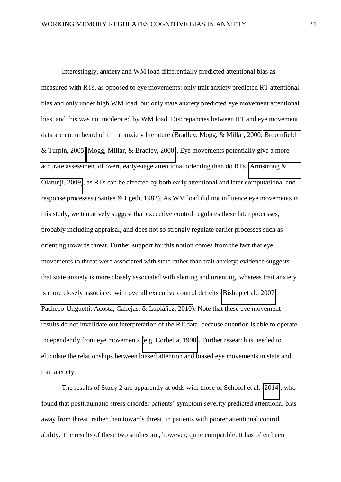Interestingly, anxiety and WM load differentially predicted attentional bias as measured with RTs, as opposed to eye movements: only trait anxiety predicted RT attentional bias and only under high WM load, but only state anxiety predicted eye movement attentional bias, and this was not moderated by WM load. Discrepancies between RT and eye movement data are not unheard of in the anxiety literature [\(Bradley, Mogg, & Millar, 2000;](#page-31-4) [Broomfield](#page-31-5)  [& Turpin, 2005;](#page-31-5) [Mogg, Millar, & Bradley, 2000\)](#page-36-4). Eye movements potentially give a more accurate assessment of overt, early-stage attentional orienting than do RTs [\(Armstrong &](#page-30-4)  [Olatunji, 2009\)](#page-30-4), as RTs can be affected by both early attentional and later computational and response processes [\(Santee & Egeth, 1982\)](#page-38-6). As WM load did not influence eye movements in this study, we tentatively suggest that executive control regulates these later processes, probably including appraisal, and does not so strongly regulate earlier processes such as orienting towards threat. Further support for this notion comes from the fact that eye movements to threat were associated with state rather than trait anxiety: evidence suggests that state anxiety is more closely associated with alerting and orienting, whereas trait anxiety is more closely associated with overall executive control deficits [\(Bishop et al., 2007;](#page-31-0) [Pacheco-Unguetti, Acosta, Callejas, & Lupiáñez, 2010\)](#page-37-3). Note that these eye movement results do not invalidate our interpretation of the RT data, because attention is able to operate independently from eye movements [\(e.g. Corbetta, 1998\)](#page-32-6). Further research is needed to elucidate the relationships between biased attention and biased eye movements in state and trait anxiety.

The results of Study 2 are apparently at odds with those of Schoorl et al. [\(2014\)](#page-38-2), who found that posttraumatic stress disorder patients' symptom severity predicted attentional bias away from threat, rather than towards threat, in patients with poorer attentional control ability. The results of these two studies are, however, quite compatible. It has often been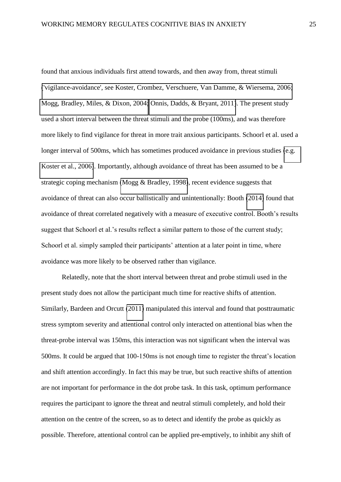found that anxious individuals first attend towards, and then away from, threat stimuli [\('vigilance-avoidance', see Koster, Crombez, Verschuere, Van Damme, & Wiersema, 2006;](#page-33-6) [Mogg, Bradley, Miles, & Dixon, 2004;](#page-36-5) [Onnis, Dadds, & Bryant, 2011\)](#page-36-6). The present study used a short interval between the threat stimuli and the probe (100ms), and was therefore more likely to find vigilance for threat in more trait anxious participants. Schoorl et al. used a longer interval of 500ms, which has sometimes produced avoidance in previous studies (e.g. [Koster et al., 2006\)](#page-33-6). Importantly, although avoidance of threat has been assumed to be a strategic coping mechanism [\(Mogg & Bradley, 1998\)](#page-35-5), recent evidence suggests that avoidance of threat can also occur ballistically and unintentionally: Booth [\(2014\)](#page-31-6) found that avoidance of threat correlated negatively with a measure of executive control. Booth's results suggest that Schoorl et al.'s results reflect a similar pattern to those of the current study; Schoorl et al. simply sampled their participants' attention at a later point in time, where avoidance was more likely to be observed rather than vigilance.

Relatedly, note that the short interval between threat and probe stimuli used in the present study does not allow the participant much time for reactive shifts of attention. Similarly, Bardeen and Orcutt [\(2011\)](#page-30-2) manipulated this interval and found that posttraumatic stress symptom severity and attentional control only interacted on attentional bias when the threat-probe interval was 150ms, this interaction was not significant when the interval was 500ms. It could be argued that 100-150ms is not enough time to register the threat's location and shift attention accordingly. In fact this may be true, but such reactive shifts of attention are not important for performance in the dot probe task. In this task, optimum performance requires the participant to ignore the threat and neutral stimuli completely, and hold their attention on the centre of the screen, so as to detect and identify the probe as quickly as possible. Therefore, attentional control can be applied pre-emptively, to inhibit any shift of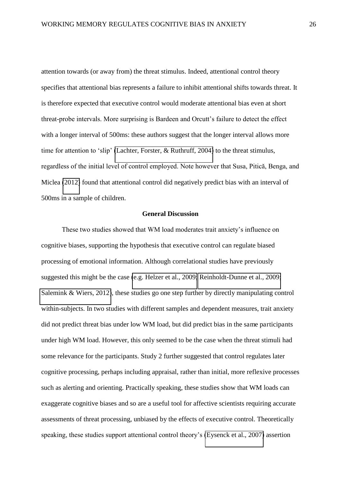attention towards (or away from) the threat stimulus. Indeed, attentional control theory specifies that attentional bias represents a failure to inhibit attentional shifts towards threat. It is therefore expected that executive control would moderate attentional bias even at short threat-probe intervals. More surprising is Bardeen and Orcutt's failure to detect the effect with a longer interval of 500ms: these authors suggest that the longer interval allows more time for attention to 'slip' [\(Lachter, Forster, & Ruthruff, 2004\)](#page-34-7) to the threat stimulus, regardless of the initial level of control employed. Note however that Susa, Pitică, Benga, and Miclea [\(2012\)](#page-38-7) found that attentional control did negatively predict bias with an interval of 500ms in a sample of children.

#### **General Discussion**

These two studies showed that WM load moderates trait anxiety's influence on cognitive biases, supporting the hypothesis that executive control can regulate biased processing of emotional information. Although correlational studies have previously suggested this might be the case [\(e.g. Helzer et al., 2009;](#page-33-4) [Reinholdt-Dunne et al., 2009;](#page-37-1) [Salemink & Wiers, 2012\)](#page-38-0), these studies go one step further by directly manipulating control within-subjects. In two studies with different samples and dependent measures, trait anxiety did not predict threat bias under low WM load, but did predict bias in the same participants under high WM load. However, this only seemed to be the case when the threat stimuli had some relevance for the participants. Study 2 further suggested that control regulates later cognitive processing, perhaps including appraisal, rather than initial, more reflexive processes such as alerting and orienting. Practically speaking, these studies show that WM loads can exaggerate cognitive biases and so are a useful tool for affective scientists requiring accurate assessments of threat processing, unbiased by the effects of executive control. Theoretically speaking, these studies support attentional control theory's [\(Eysenck et al., 2007\)](#page-33-0) assertion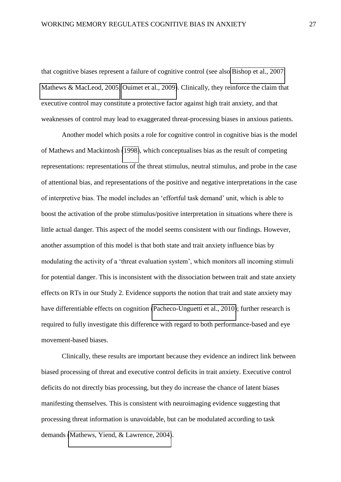that cognitive biases represent a failure of cognitive control (see also [Bishop et al., 2007;](#page-31-0) [Mathews & MacLeod, 2005;](#page-35-0) [Ouimet et al., 2009\)](#page-37-0). Clinically, they reinforce the claim that executive control may constitute a protective factor against high trait anxiety, and that weaknesses of control may lead to exaggerated threat-processing biases in anxious patients.

Another model which posits a role for cognitive control in cognitive bias is the model of Mathews and Mackintosh [\(1998\)](#page-34-5), which conceptualises bias as the result of competing representations: representations of the threat stimulus, neutral stimulus, and probe in the case of attentional bias, and representations of the positive and negative interpretations in the case of interpretive bias. The model includes an 'effortful task demand' unit, which is able to boost the activation of the probe stimulus/positive interpretation in situations where there is little actual danger. This aspect of the model seems consistent with our findings. However, another assumption of this model is that both state and trait anxiety influence bias by modulating the activity of a 'threat evaluation system', which monitors all incoming stimuli for potential danger. This is inconsistent with the dissociation between trait and state anxiety effects on RTs in our Study 2. Evidence supports the notion that trait and state anxiety may have differentiable effects on cognition [\(Pacheco-Unguetti et al., 2010\)](#page-37-3); further research is required to fully investigate this difference with regard to both performance-based and eye movement-based biases.

Clinically, these results are important because they evidence an indirect link between biased processing of threat and executive control deficits in trait anxiety. Executive control deficits do not directly bias processing, but they do increase the chance of latent biases manifesting themselves. This is consistent with neuroimaging evidence suggesting that processing threat information is unavoidable, but can be modulated according to task demands [\(Mathews, Yiend, & Lawrence, 2004\)](#page-35-6).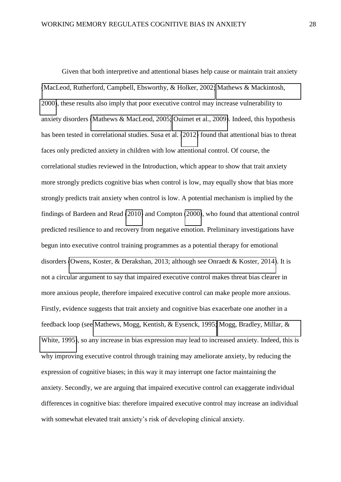Given that both interpretive and attentional biases help cause or maintain trait anxiety [\(MacLeod, Rutherford, Campbell, Ebsworthy, & Holker, 2002;](#page-34-8) [Mathews & Mackintosh,](#page-35-1)  [2000\)](#page-35-1), these results also imply that poor executive control may increase vulnerability to anxiety disorders [\(Mathews & MacLeod, 2005;](#page-35-0) [Ouimet et al., 2009\)](#page-37-0). Indeed, this hypothesis has been tested in correlational studies. Susa et al. [\(2012\)](#page-38-7) found that attentional bias to threat faces only predicted anxiety in children with low attentional control. Of course, the correlational studies reviewed in the Introduction, which appear to show that trait anxiety more strongly predicts cognitive bias when control is low, may equally show that bias more strongly predicts trait anxiety when control is low. A potential mechanism is implied by the findings of Bardeen and Read [\(2010\)](#page-30-6) and Compton [\(2000\)](#page-32-7), who found that attentional control predicted resilience to and recovery from negative emotion. Preliminary investigations have begun into executive control training programmes as a potential therapy for emotional disorders [\(Owens, Koster, & Derakshan, 2013; although see Onraedt & Koster, 2014\)](#page-37-4). It is not a circular argument to say that impaired executive control makes threat bias clearer in more anxious people, therefore impaired executive control can make people more anxious. Firstly, evidence suggests that trait anxiety and cognitive bias exacerbate one another in a feedback loop (see [Mathews, Mogg, Kentish, & Eysenck, 1995;](#page-35-7) [Mogg, Bradley, Millar, &](#page-36-7)  [White, 1995\)](#page-36-7), so any increase in bias expression may lead to increased anxiety. Indeed, this is why improving executive control through training may ameliorate anxiety, by reducing the expression of cognitive biases; in this way it may interrupt one factor maintaining the anxiety. Secondly, we are arguing that impaired executive control can exaggerate individual differences in cognitive bias: therefore impaired executive control may increase an individual with somewhat elevated trait anxiety's risk of developing clinical anxiety.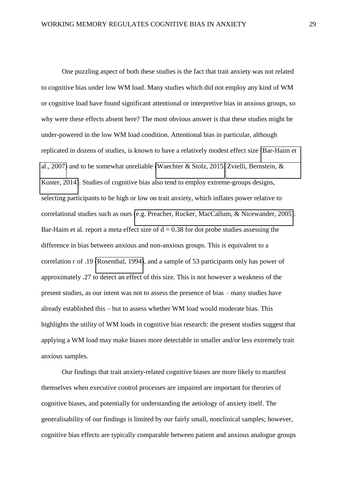One puzzling aspect of both these studies is the fact that trait anxiety was not related to cognitive bias under low WM load. Many studies which did not employ any kind of WM or cognitive load have found significant attentional or interpretive bias in anxious groups, so why were these effects absent here? The most obvious answer is that these studies might be under-powered in the low WM load condition. Attentional bias in particular, although replicated in dozens of studies, is known to have a relatively modest effect size [\(Bar-Haim et](#page-30-0)  [al., 2007\)](#page-30-0) and to be somewhat unreliable [\(Waechter & Stolz, 2015;](#page-39-1) [Zvielli, Bernstein, &](#page-39-2)  [Koster, 2014\)](#page-39-2). Studies of cognitive bias also tend to employ extreme-groups designs, selecting participants to be high or low on trait anxiety, which inflates power relative to correlational studies such as ours [\(e.g. Preacher, Rucker, MacCallum, & Nicewander, 2005\)](#page-37-5). Bar-Haim et al. report a meta effect size of  $d = 0.38$  for dot probe studies assessing the difference in bias between anxious and non-anxious groups. This is equivalent to a correlation r of .19 [\(Rosenthal, 1994\)](#page-37-6), and a sample of 53 participants only has power of approximately .27 to detect an effect of this size. This is not however a weakness of the present studies, as our intent was not to assess the presence of bias – many studies have already established this – but to assess whether WM load would moderate bias. This highlights the utility of WM loads in cognitive bias research: the present studies suggest that applying a WM load may make biases more detectable in smaller and/or less extremely trait anxious samples.

Our findings that trait anxiety-related cognitive biases are more likely to manifest themselves when executive control processes are impaired are important for theories of cognitive biases, and potentially for understanding the aetiology of anxiety itself. The generalisability of our findings is limited by our fairly small, nonclinical samples; however, cognitive bias effects are typically comparable between patient and anxious analogue groups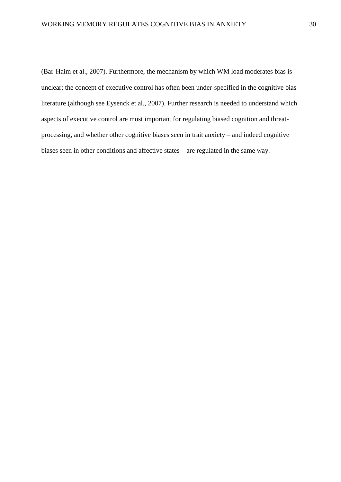<span id="page-30-6"></span><span id="page-30-5"></span><span id="page-30-4"></span><span id="page-30-3"></span><span id="page-30-2"></span><span id="page-30-1"></span><span id="page-30-0"></span>(Bar-Haim et al., 2007). Furthermore, the mechanism by which WM load moderates bias is unclear; the concept of executive control has often been under-specified in the cognitive bias literature (although see Eysenck et al., 2007). Further research is needed to understand which aspects of executive control are most important for regulating biased cognition and threatprocessing, and whether other cognitive biases seen in trait anxiety – and indeed cognitive biases seen in other conditions and affective states – are regulated in the same way.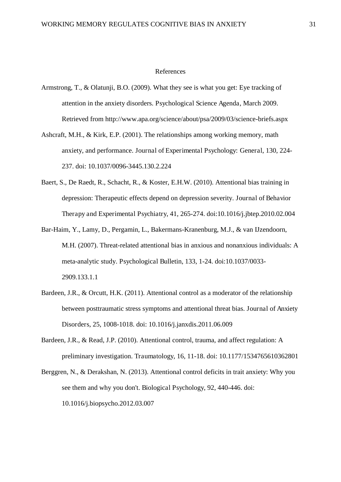#### References

- <span id="page-31-0"></span>Armstrong, T., & Olatunji, B.O. (2009). What they see is what you get: Eye tracking of attention in the anxiety disorders. Psychological Science Agenda, March 2009. Retrieved from http://www.apa.org/science/about/psa/2009/03/science-briefs.aspx
- <span id="page-31-3"></span>Ashcraft, M.H., & Kirk, E.P. (2001). The relationships among working memory, math anxiety, and performance. Journal of Experimental Psychology: General, 130, 224- 237. doi: 10.1037/0096-3445.130.2.224
- <span id="page-31-6"></span>Baert, S., De Raedt, R., Schacht, R., & Koster, E.H.W. (2010). Attentional bias training in depression: Therapeutic effects depend on depression severity. Journal of Behavior Therapy and Experimental Psychiatry, 41, 265-274. doi:10.1016/j.jbtep.2010.02.004
- <span id="page-31-2"></span><span id="page-31-1"></span>Bar-Haim, Y., Lamy, D., Pergamin, L., Bakermans-Kranenburg, M.J., & van IJzendoorn, M.H. (2007). Threat-related attentional bias in anxious and nonanxious individuals: A meta-analytic study. Psychological Bulletin, 133, 1-24. doi:10.1037/0033- 2909.133.1.1
- Bardeen, J.R., & Orcutt, H.K. (2011). Attentional control as a moderator of the relationship between posttraumatic stress symptoms and attentional threat bias. Journal of Anxiety Disorders, 25, 1008-1018. doi: 10.1016/j.janxdis.2011.06.009
- <span id="page-31-4"></span>Bardeen, J.R., & Read, J.P. (2010). Attentional control, trauma, and affect regulation: A preliminary investigation. Traumatology, 16, 11-18. doi: 10.1177/1534765610362801
- <span id="page-31-5"></span>Berggren, N., & Derakshan, N. (2013). Attentional control deficits in trait anxiety: Why you see them and why you don't. Biological Psychology, 92, 440-446. doi: 10.1016/j.biopsycho.2012.03.007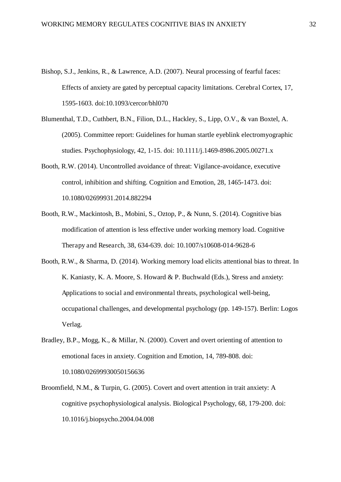- <span id="page-32-4"></span>Bishop, S.J., Jenkins, R., & Lawrence, A.D. (2007). Neural processing of fearful faces: Effects of anxiety are gated by perceptual capacity limitations. Cerebral Cortex, 17, 1595-1603. doi:10.1093/cercor/bhl070
- <span id="page-32-2"></span>Blumenthal, T.D., Cuthbert, B.N., Filion, D.L., Hackley, S., Lipp, O.V., & van Boxtel, A. (2005). Committee report: Guidelines for human startle eyeblink electromyographic studies. Psychophysiology, 42, 1-15. doi: 10.1111/j.1469-8986.2005.00271.x
- <span id="page-32-5"></span>Booth, R.W. (2014). Uncontrolled avoidance of threat: Vigilance-avoidance, executive control, inhibition and shifting. Cognition and Emotion, 28, 1465-1473. doi: 10.1080/02699931.2014.882294
- <span id="page-32-7"></span>Booth, R.W., Mackintosh, B., Mobini, S., Oztop, P., & Nunn, S. (2014). Cognitive bias modification of attention is less effective under working memory load. Cognitive Therapy and Research, 38, 634-639. doi: 10.1007/s10608-014-9628-6
- <span id="page-32-6"></span>Booth, R.W., & Sharma, D. (2014). Working memory load elicits attentional bias to threat. In K. Kaniasty, K. A. Moore, S. Howard & P. Buchwald (Eds.), Stress and anxiety: Applications to social and environmental threats, psychological well-being, occupational challenges, and developmental psychology (pp. 149-157). Berlin: Logos Verlag.
- <span id="page-32-3"></span><span id="page-32-0"></span>Bradley, B.P., Mogg, K., & Millar, N. (2000). Covert and overt orienting of attention to emotional faces in anxiety. Cognition and Emotion, 14, 789-808. doi: 10.1080/02699930050156636
- <span id="page-32-1"></span>Broomfield, N.M., & Turpin, G. (2005). Covert and overt attention in trait anxiety: A cognitive psychophysiological analysis. Biological Psychology, 68, 179-200. doi: 10.1016/j.biopsycho.2004.04.008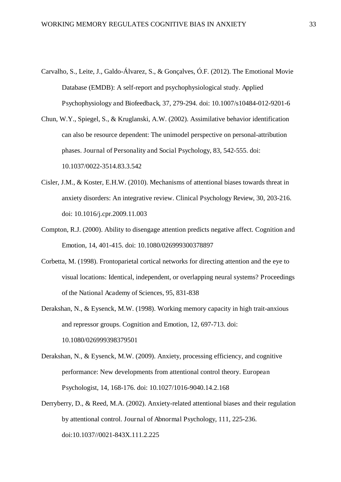- <span id="page-33-0"></span>Carvalho, S., Leite, J., Galdo-Álvarez, S., & Gonçalves, Ó.F. (2012). The Emotional Movie Database (EMDB): A self-report and psychophysiological study. Applied Psychophysiology and Biofeedback, 37, 279-294. doi: 10.1007/s10484-012-9201-6
- <span id="page-33-5"></span>Chun, W.Y., Spiegel, S., & Kruglanski, A.W. (2002). Assimilative behavior identification can also be resource dependent: The unimodel perspective on personal-attribution phases. Journal of Personality and Social Psychology, 83, 542-555. doi: 10.1037/0022-3514.83.3.542
- <span id="page-33-3"></span>Cisler, J.M., & Koster, E.H.W. (2010). Mechanisms of attentional biases towards threat in anxiety disorders: An integrative review. Clinical Psychology Review, 30, 203-216. doi: 10.1016/j.cpr.2009.11.003
- <span id="page-33-4"></span>Compton, R.J. (2000). Ability to disengage attention predicts negative affect. Cognition and Emotion, 14, 401-415. doi: 10.1080/026999300378897
- <span id="page-33-2"></span>Corbetta, M. (1998). Frontoparietal cortical networks for directing attention and the eye to visual locations: Identical, independent, or overlapping neural systems? Proceedings of the National Academy of Sciences, 95, 831-838
- Derakshan, N., & Eysenck, M.W. (1998). Working memory capacity in high trait-anxious and repressor groups. Cognition and Emotion, 12, 697-713. doi: 10.1080/026999398379501
- <span id="page-33-1"></span>Derakshan, N., & Eysenck, M.W. (2009). Anxiety, processing efficiency, and cognitive performance: New developments from attentional control theory. European Psychologist, 14, 168-176. doi: 10.1027/1016-9040.14.2.168
- <span id="page-33-6"></span>Derryberry, D., & Reed, M.A. (2002). Anxiety-related attentional biases and their regulation by attentional control. Journal of Abnormal Psychology, 111, 225-236. doi:10.1037//0021-843X.111.2.225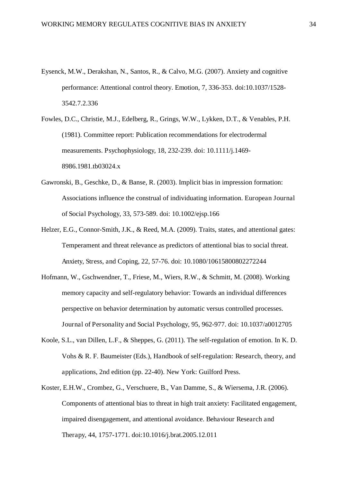- <span id="page-34-7"></span>Eysenck, M.W., Derakshan, N., Santos, R., & Calvo, M.G. (2007). Anxiety and cognitive performance: Attentional control theory. Emotion, 7, 336-353. doi:10.1037/1528- 3542.7.2.336
- <span id="page-34-1"></span>Fowles, D.C., Christie, M.J., Edelberg, R., Grings, W.W., Lykken, D.T., & Venables, P.H. (1981). Committee report: Publication recommendations for electrodermal measurements. Psychophysiology, 18, 232-239. doi: 10.1111/j.1469- 8986.1981.tb03024.x
- <span id="page-34-0"></span>Gawronski, B., Geschke, D., & Banse, R. (2003). Implicit bias in impression formation: Associations influence the construal of individuating information. European Journal of Social Psychology, 33, 573-589. doi: 10.1002/ejsp.166
- <span id="page-34-6"></span><span id="page-34-4"></span>Helzer, E.G., Connor-Smith, J.K., & Reed, M.A. (2009). Traits, states, and attentional gates: Temperament and threat relevance as predictors of attentional bias to social threat. Anxiety, Stress, and Coping, 22, 57-76. doi: 10.1080/10615800802272244
- <span id="page-34-8"></span>Hofmann, W., Gschwendner, T., Friese, M., Wiers, R.W., & Schmitt, M. (2008). Working memory capacity and self-regulatory behavior: Towards an individual differences perspective on behavior determination by automatic versus controlled processes. Journal of Personality and Social Psychology, 95, 962-977. doi: 10.1037/a0012705
- <span id="page-34-3"></span><span id="page-34-2"></span>Koole, S.L., van Dillen, L.F., & Sheppes, G. (2011). The self-regulation of emotion. In K. D. Vohs & R. F. Baumeister (Eds.), Handbook of self-regulation: Research, theory, and applications, 2nd edition (pp. 22-40). New York: Guilford Press.
- <span id="page-34-5"></span>Koster, E.H.W., Crombez, G., Verschuere, B., Van Damme, S., & Wiersema, J.R. (2006). Components of attentional bias to threat in high trait anxiety: Facilitated engagement, impaired disengagement, and attentional avoidance. Behaviour Research and Therapy, 44, 1757-1771. doi:10.1016/j.brat.2005.12.011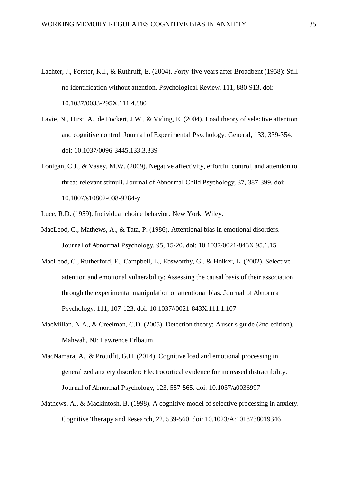- <span id="page-35-1"></span>Lachter, J., Forster, K.I., & Ruthruff, E. (2004). Forty-five years after Broadbent (1958): Still no identification without attention. Psychological Review, 111, 880-913. doi: 10.1037/0033-295X.111.4.880
- <span id="page-35-3"></span><span id="page-35-0"></span>Lavie, N., Hirst, A., de Fockert, J.W., & Viding, E. (2004). Load theory of selective attention and cognitive control. Journal of Experimental Psychology: General, 133, 339-354. doi: 10.1037/0096-3445.133.3.339
- <span id="page-35-7"></span>Lonigan, C.J., & Vasey, M.W. (2009). Negative affectivity, effortful control, and attention to threat-relevant stimuli. Journal of Abnormal Child Psychology, 37, 387-399. doi: 10.1007/s10802-008-9284-y
- Luce, R.D. (1959). Individual choice behavior. New York: Wiley.
- <span id="page-35-4"></span>MacLeod, C., Mathews, A., & Tata, P. (1986). Attentional bias in emotional disorders. Journal of Abnormal Psychology, 95, 15-20. doi: 10.1037/0021-843X.95.1.15
- <span id="page-35-6"></span>MacLeod, C., Rutherford, E., Campbell, L., Ebsworthy, G., & Holker, L. (2002). Selective attention and emotional vulnerability: Assessing the causal basis of their association through the experimental manipulation of attentional bias. Journal of Abnormal Psychology, 111, 107-123. doi: 10.1037//0021-843X.111.1.107
- <span id="page-35-2"></span>MacMillan, N.A., & Creelman, C.D. (2005). Detection theory: A user's guide (2nd edition). Mahwah, NJ: Lawrence Erlbaum.
- MacNamara, A., & Proudfit, G.H. (2014). Cognitive load and emotional processing in generalized anxiety disorder: Electrocortical evidence for increased distractibility. Journal of Abnormal Psychology, 123, 557-565. doi: 10.1037/a0036997
- <span id="page-35-5"></span>Mathews, A., & Mackintosh, B. (1998). A cognitive model of selective processing in anxiety. Cognitive Therapy and Research, 22, 539-560. doi: 10.1023/A:1018738019346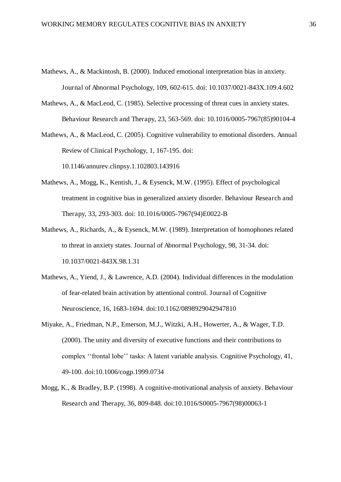- <span id="page-36-5"></span>Mathews, A., & Mackintosh, B. (2000). Induced emotional interpretation bias in anxiety. Journal of Abnormal Psychology, 109, 602-615. doi: 10.1037/0021-843X.109.4.602
- <span id="page-36-7"></span>Mathews, A., & MacLeod, C. (1985). Selective processing of threat cues in anxiety states. Behaviour Research and Therapy, 23, 563-569. doi: 10.1016/0005-7967(85)90104-4

Mathews, A., & MacLeod, C. (2005). Cognitive vulnerability to emotional disorders. Annual Review of Clinical Psychology, 1, 167-195. doi:

10.1146/annurev.clinpsy.1.102803.143916

- <span id="page-36-2"></span>Mathews, A., Mogg, K., Kentish, J., & Eysenck, M.W. (1995). Effect of psychological treatment in cognitive bias in generalized anxiety disorder. Behaviour Research and Therapy, 33, 293-303. doi: 10.1016/0005-7967(94)E0022-B
- <span id="page-36-4"></span>Mathews, A., Richards, A., & Eysenck, M.W. (1989). Interpretation of homophones related to threat in anxiety states. Journal of Abnormal Psychology, 98, 31-34. doi: 10.1037/0021-843X.98.1.31
- <span id="page-36-1"></span>Mathews, A., Yiend, J., & Lawrence, A.D. (2004). Individual differences in the modulation of fear-related brain activation by attentional control. Journal of Cognitive Neuroscience, 16, 1683-1694. doi:10.1162/0898929042947810
- <span id="page-36-3"></span><span id="page-36-0"></span>Miyake, A., Friedman, N.P., Emerson, M.J., Witzki, A.H., Howerter, A., & Wager, T.D. (2000). The unity and diversity of executive functions and their contributions to complex ''frontal lobe'' tasks: A latent variable analysis. Cognitive Psychology, 41, 49-100. doi:10.1006/cogp.1999.0734
- <span id="page-36-6"></span>Mogg, K., & Bradley, B.P. (1998). A cognitive-motivational analysis of anxiety. Behaviour Research and Therapy, 36, 809-848. doi:10.1016/S0005-7967(98)00063-1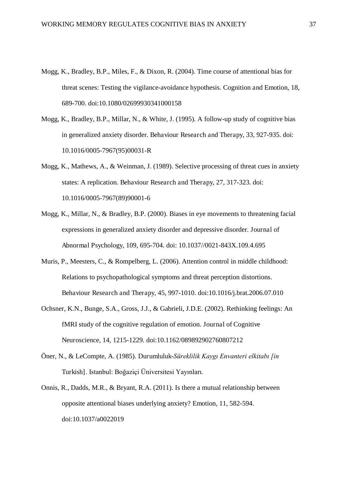- Mogg, K., Bradley, B.P., Miles, F., & Dixon, R. (2004). Time course of attentional bias for threat scenes: Testing the vigilance-avoidance hypothesis. Cognition and Emotion, 18, 689-700. doi:10.1080/02699930341000158
- <span id="page-37-0"></span>Mogg, K., Bradley, B.P., Millar, N., & White, J. (1995). A follow-up study of cognitive bias in generalized anxiety disorder. Behaviour Research and Therapy, 33, 927-935. doi: 10.1016/0005-7967(95)00031-R
- <span id="page-37-4"></span>Mogg, K., Mathews, A., & Weinman, J. (1989). Selective processing of threat cues in anxiety states: A replication. Behaviour Research and Therapy, 27, 317-323. doi: 10.1016/0005-7967(89)90001-6
- <span id="page-37-3"></span>Mogg, K., Millar, N., & Bradley, B.P. (2000). Biases in eye movements to threatening facial expressions in generalized anxiety disorder and depressive disorder. Journal of Abnormal Psychology, 109, 695-704. doi: 10.1037//0021-843X.109.4.695
- <span id="page-37-5"></span>Muris, P., Meesters, C., & Rompelberg, L. (2006). Attention control in middle childhood: Relations to psychopathological symptoms and threat perception distortions. Behaviour Research and Therapy, 45, 997-1010. doi:10.1016/j.brat.2006.07.010
- <span id="page-37-1"></span>Ochsner, K.N., Bunge, S.A., Gross, J.J., & Gabrieli, J.D.E. (2002). Rethinking feelings: An fMRI study of the cognitive regulation of emotion. Journal of Cognitive Neuroscience, 14, 1215-1229. doi:10.1162/089892902760807212
- <span id="page-37-6"></span><span id="page-37-2"></span>Öner, N., & LeCompte, A. (1985). Durumluluk-*Süreklilik Kaygı Envanteri elkitabı [in*  Turkish]. Istanbul: Boğaziçi Üniversitesi Yayınları.
- Onnis, R., Dadds, M.R., & Bryant, R.A. (2011). Is there a mutual relationship between opposite attentional biases underlying anxiety? Emotion, 11, 582-594. doi:10.1037/a0022019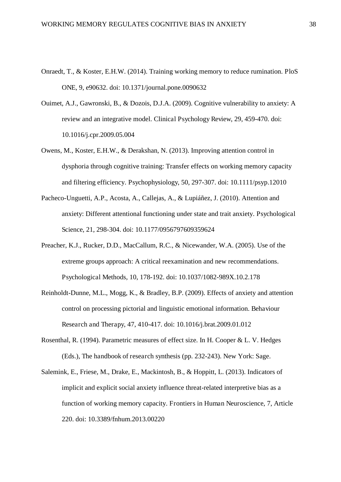- <span id="page-38-0"></span>Onraedt, T., & Koster, E.H.W. (2014). Training working memory to reduce rumination. PloS ONE, 9, e90632. doi: 10.1371/journal.pone.0090632
- <span id="page-38-6"></span>Ouimet, A.J., Gawronski, B., & Dozois, D.J.A. (2009). Cognitive vulnerability to anxiety: A review and an integrative model. Clinical Psychology Review, 29, 459-470. doi: 10.1016/j.cpr.2009.05.004
- <span id="page-38-2"></span>Owens, M., Koster, E.H.W., & Derakshan, N. (2013). Improving attention control in dysphoria through cognitive training: Transfer effects on working memory capacity and filtering efficiency. Psychophysiology, 50, 297-307. doi: 10.1111/psyp.12010
- <span id="page-38-3"></span>Pacheco-Unguetti, A.P., Acosta, A., Callejas, A., & Lupiáñez, J. (2010). Attention and anxiety: Different attentional functioning under state and trait anxiety. Psychological Science, 21, 298-304. doi: 10.1177/0956797609359624
- <span id="page-38-4"></span>Preacher, K.J., Rucker, D.D., MacCallum, R.C., & Nicewander, W.A. (2005). Use of the extreme groups approach: A critical reexamination and new recommendations. Psychological Methods, 10, 178-192. doi: 10.1037/1082-989X.10.2.178
- <span id="page-38-1"></span>Reinholdt-Dunne, M.L., Mogg, K., & Bradley, B.P. (2009). Effects of anxiety and attention control on processing pictorial and linguistic emotional information. Behaviour Research and Therapy, 47, 410-417. doi: 10.1016/j.brat.2009.01.012
- <span id="page-38-7"></span>Rosenthal, R. (1994). Parametric measures of effect size. In H. Cooper & L. V. Hedges (Eds.), The handbook of research synthesis (pp. 232-243). New York: Sage.
- <span id="page-38-5"></span>Salemink, E., Friese, M., Drake, E., Mackintosh, B., & Hoppitt, L. (2013). Indicators of implicit and explicit social anxiety influence threat-related interpretive bias as a function of working memory capacity. Frontiers in Human Neuroscience, 7, Article 220. doi: 10.3389/fnhum.2013.00220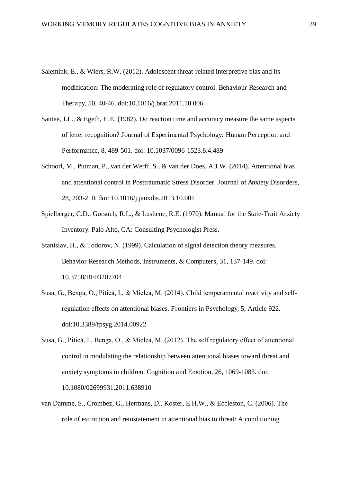- Salemink, E., & Wiers, R.W. (2012). Adolescent threat-related interpretive bias and its modification: The moderating role of regulatory control. Behaviour Research and Therapy, 50, 40-46. doi:10.1016/j.brat.2011.10.006
- <span id="page-39-1"></span>Santee, J.L., & Egeth, H.E. (1982). Do reaction time and accuracy measure the same aspects of letter recognition? Journal of Experimental Psychology: Human Perception and Performance, 8, 489-501. doi: 10.1037/0096-1523.8.4.489
- <span id="page-39-0"></span>Schoorl, M., Putman, P., van der Werff, S., & van der Does, A.J.W. (2014). Attentional bias and attentional control in Posttraumatic Stress Disorder. Journal of Anxiety Disorders, 28, 203-210. doi: 10.1016/j.janxdis.2013.10.001
- <span id="page-39-2"></span>Spielberger, C.D., Gorsuch, R.L., & Lushene, R.E. (1970). Manual for the State-Trait Anxiety Inventory. Palo Alto, CA: Consulting Psychologist Press.
- Stanislav, H., & Todorov, N. (1999). Calculation of signal detection theory measures. Behavior Research Methods, Instruments, & Computers, 31, 137-149. doi: 10.3758/BF03207704
- Susa, G., Benga, O., Pitică, I., & Miclea, M. (2014). Child temperamental reactivity and selfregulation effects on attentional biases. Frontiers in Psychology, 5, Article 922. doi:10.3389/fpsyg.2014.00922
- Susa, G., Pitică, I., Benga, O., & Miclea, M. (2012). The self regulatory effect of attentional control in modulating the relationship between attentional biases toward threat and anxiety symptoms in children. Cognition and Emotion, 26, 1069-1083. doi: 10.1080/02699931.2011.638910
- van Damme, S., Crombez, G., Hermans, D., Koster, E.H.W., & Eccleston, C. (2006). The role of extinction and reinstatement in attentional bias to threat: A conditioning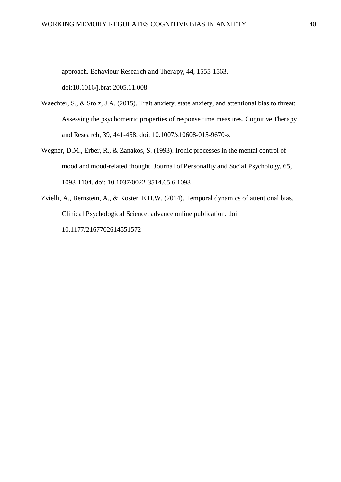approach. Behaviour Research and Therapy, 44, 1555-1563.

doi:10.1016/j.brat.2005.11.008

- Waechter, S., & Stolz, J.A. (2015). Trait anxiety, state anxiety, and attentional bias to threat: Assessing the psychometric properties of response time measures. Cognitive Therapy and Research, 39, 441-458. doi: 10.1007/s10608-015-9670-z
- Wegner, D.M., Erber, R., & Zanakos, S. (1993). Ironic processes in the mental control of mood and mood-related thought. Journal of Personality and Social Psychology, 65, 1093-1104. doi: 10.1037/0022-3514.65.6.1093
- Zvielli, A., Bernstein, A., & Koster, E.H.W. (2014). Temporal dynamics of attentional bias. Clinical Psychological Science, advance online publication. doi: 10.1177/2167702614551572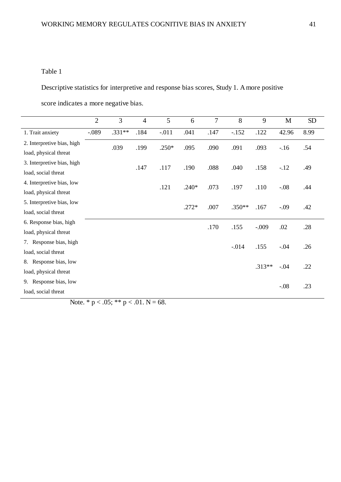# Table 1

Descriptive statistics for interpretive and response bias scores, Study 1. A more positive

score indicates a more negative bias.

|                            | $\overline{2}$ | 3        | $\overline{4}$ | 5       | 6       | $\overline{7}$ | 8        | 9        | M       | <b>SD</b> |
|----------------------------|----------------|----------|----------------|---------|---------|----------------|----------|----------|---------|-----------|
| 1. Trait anxiety           | $-.089$        | $.331**$ | .184           | $-.011$ | .041    | .147           | $-.152$  | .122     | 42.96   | 8.99      |
| 2. Interpretive bias, high |                | .039     | .199           | $.250*$ | .095    | .090           | .091     | .093     | $-16$   | .54       |
| load, physical threat      |                |          |                |         |         |                |          |          |         |           |
| 3. Interpretive bias, high |                |          | .147           | .117    | .190    | .088           | .040     | .158     | $-12$   | .49       |
| load, social threat        |                |          |                |         |         |                |          |          |         |           |
| 4. Interpretive bias, low  |                |          |                | .121    | $.240*$ | .073           | .197     | .110     | $-.08$  | .44       |
| load, physical threat      |                |          |                |         |         |                |          |          |         |           |
| 5. Interpretive bias, low  |                |          |                |         | $.272*$ | .007           | $.350**$ | .167     | $-0.09$ | .42       |
| load, social threat        |                |          |                |         |         |                |          |          |         |           |
| 6. Response bias, high     |                |          |                |         |         | .170           | .155     | $-0.09$  | .02     | .28       |
| load, physical threat      |                |          |                |         |         |                |          |          |         |           |
| Response bias, high<br>7.  |                |          |                |         |         |                | $-0.014$ | .155     | $-.04$  | .26       |
| load, social threat        |                |          |                |         |         |                |          |          |         |           |
| 8. Response bias, low      |                |          |                |         |         |                |          | $.313**$ | $-.04$  | .22       |
| load, physical threat      |                |          |                |         |         |                |          |          |         |           |
| Response bias, low<br>9.   |                |          |                |         |         |                |          |          | $-.08$  | .23       |
| load, social threat        |                |          |                |         |         |                |          |          |         |           |

Note. \*  $p < .05$ ; \*\*  $p < .01$ . N = 68.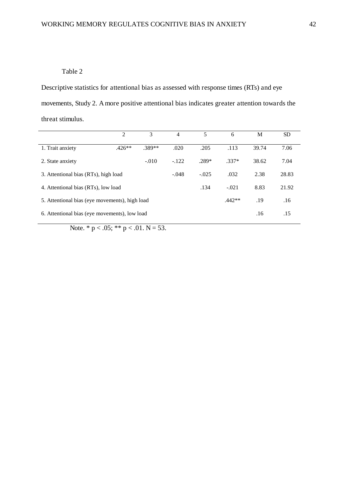## Table 2

Descriptive statistics for attentional bias as assessed with response times (RTs) and eye movements, Study 2. A more positive attentional bias indicates greater attention towards the threat stimulus.

|                                                | $\overline{2}$ | 3        | 4       | 5       | 6       | M     | <b>SD</b> |
|------------------------------------------------|----------------|----------|---------|---------|---------|-------|-----------|
| 1. Trait anxiety                               | $.426**$       | $.389**$ | .020    | .205    | .113    | 39.74 | 7.06      |
| 2. State anxiety                               |                | $-.010$  | $-.122$ | $.289*$ | $.337*$ | 38.62 | 7.04      |
| 3. Attentional bias (RTs), high load           | $-.048$        | $-.025$  | .032    | 2.38    | 28.83   |       |           |
| 4. Attentional bias (RTs), low load            |                | .134     | $-.021$ | 8.83    | 21.92   |       |           |
| 5. Attentional bias (eye movements), high load | $.442**$       | .19      | .16     |         |         |       |           |
| 6. Attentional bias (eye movements), low load  |                |          |         |         |         |       | .15       |

Note.  $* p < .05; ** p < .01. N = 53.$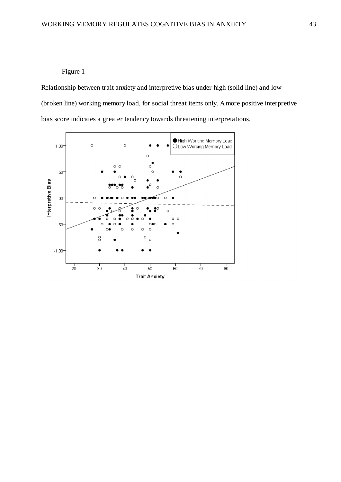# Figure 1

Relationship between trait anxiety and interpretive bias under high (solid line) and low (broken line) working memory load, for social threat items only. A more positive interpretive bias score indicates a greater tendency towards threatening interpretations.